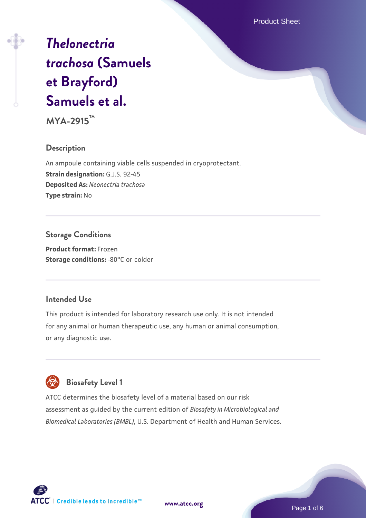Product Sheet

# *[Thelonectria](https://www.atcc.org/products/mya-2915) [trachosa](https://www.atcc.org/products/mya-2915)* **[\(Samuels](https://www.atcc.org/products/mya-2915) [et Brayford\)](https://www.atcc.org/products/mya-2915) [Samuels et al.](https://www.atcc.org/products/mya-2915)**

**MYA-2915™**

#### **Description**

An ampoule containing viable cells suspended in cryoprotectant. **Strain designation:** G.J.S. 92-45 **Deposited As:** *Neonectria trachosa* **Type strain:** No

#### **Storage Conditions**

**Product format:** Frozen **Storage conditions: - 80°C** or colder

#### **Intended Use**

This product is intended for laboratory research use only. It is not intended for any animal or human therapeutic use, any human or animal consumption, or any diagnostic use.

# **Biosafety Level 1**

ATCC determines the biosafety level of a material based on our risk assessment as guided by the current edition of *Biosafety in Microbiological and Biomedical Laboratories (BMBL)*, U.S. Department of Health and Human Services.

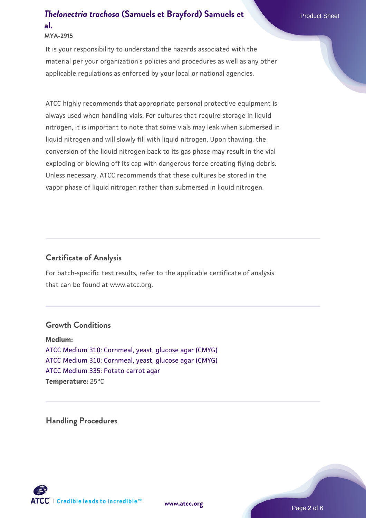#### **MYA-2915**

It is your responsibility to understand the hazards associated with the material per your organization's policies and procedures as well as any other applicable regulations as enforced by your local or national agencies.

ATCC highly recommends that appropriate personal protective equipment is always used when handling vials. For cultures that require storage in liquid nitrogen, it is important to note that some vials may leak when submersed in liquid nitrogen and will slowly fill with liquid nitrogen. Upon thawing, the conversion of the liquid nitrogen back to its gas phase may result in the vial exploding or blowing off its cap with dangerous force creating flying debris. Unless necessary, ATCC recommends that these cultures be stored in the vapor phase of liquid nitrogen rather than submersed in liquid nitrogen.

#### **Certificate of Analysis**

For batch-specific test results, refer to the applicable certificate of analysis that can be found at www.atcc.org.

#### **Growth Conditions**

**Medium:**  [ATCC Medium 310: Cornmeal, yeast, glucose agar \(CMYG\)](https://www.atcc.org/-/media/product-assets/documents/microbial-media-formulations/1/0/atcc-medium-310.pdf?rev=5693c733fdd64e888556011eb67a3897) [ATCC Medium 310: Cornmeal, yeast, glucose agar \(CMYG\)](https://www.atcc.org/-/media/product-assets/documents/microbial-media-formulations/1/0/atcc-medium-310.pdf?rev=5693c733fdd64e888556011eb67a3897) [ATCC Medium 335: Potato carrot agar](https://www.atcc.org/-/media/product-assets/documents/microbial-media-formulations/3/3/5/atcc-medium-335.pdf?rev=a7055ab8b3c54646a9d0bdf7b34c1606) **Temperature:** 25°C

**Handling Procedures**

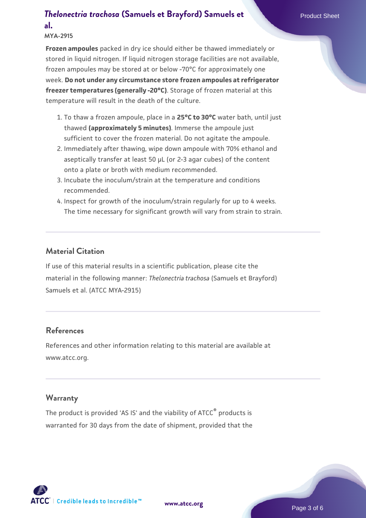#### **MYA-2915**

**Frozen ampoules** packed in dry ice should either be thawed immediately or stored in liquid nitrogen. If liquid nitrogen storage facilities are not available, frozen ampoules may be stored at or below -70°C for approximately one week. **Do not under any circumstance store frozen ampoules at refrigerator freezer temperatures (generally -20°C)**. Storage of frozen material at this temperature will result in the death of the culture.

- 1. To thaw a frozen ampoule, place in a **25°C to 30°C** water bath, until just thawed **(approximately 5 minutes)**. Immerse the ampoule just sufficient to cover the frozen material. Do not agitate the ampoule.
- 2. Immediately after thawing, wipe down ampoule with 70% ethanol and aseptically transfer at least 50 µL (or 2-3 agar cubes) of the content onto a plate or broth with medium recommended.
- Incubate the inoculum/strain at the temperature and conditions 3. recommended.
- 4. Inspect for growth of the inoculum/strain regularly for up to 4 weeks. The time necessary for significant growth will vary from strain to strain.

#### **Material Citation**

If use of this material results in a scientific publication, please cite the material in the following manner: *Thelonectria trachosa* (Samuels et Brayford) Samuels et al. (ATCC MYA-2915)

#### **References**

References and other information relating to this material are available at www.atcc.org.

#### **Warranty**

The product is provided 'AS IS' and the viability of ATCC® products is warranted for 30 days from the date of shipment, provided that the





Page 3 of 6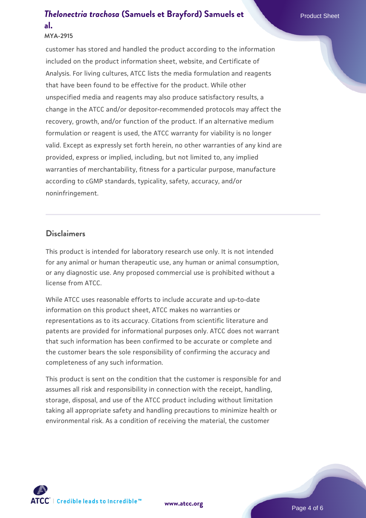#### **MYA-2915**

customer has stored and handled the product according to the information included on the product information sheet, website, and Certificate of Analysis. For living cultures, ATCC lists the media formulation and reagents that have been found to be effective for the product. While other unspecified media and reagents may also produce satisfactory results, a change in the ATCC and/or depositor-recommended protocols may affect the recovery, growth, and/or function of the product. If an alternative medium formulation or reagent is used, the ATCC warranty for viability is no longer valid. Except as expressly set forth herein, no other warranties of any kind are provided, express or implied, including, but not limited to, any implied warranties of merchantability, fitness for a particular purpose, manufacture according to cGMP standards, typicality, safety, accuracy, and/or noninfringement.

#### **Disclaimers**

This product is intended for laboratory research use only. It is not intended for any animal or human therapeutic use, any human or animal consumption, or any diagnostic use. Any proposed commercial use is prohibited without a license from ATCC.

While ATCC uses reasonable efforts to include accurate and up-to-date information on this product sheet, ATCC makes no warranties or representations as to its accuracy. Citations from scientific literature and patents are provided for informational purposes only. ATCC does not warrant that such information has been confirmed to be accurate or complete and the customer bears the sole responsibility of confirming the accuracy and completeness of any such information.

This product is sent on the condition that the customer is responsible for and assumes all risk and responsibility in connection with the receipt, handling, storage, disposal, and use of the ATCC product including without limitation taking all appropriate safety and handling precautions to minimize health or environmental risk. As a condition of receiving the material, the customer

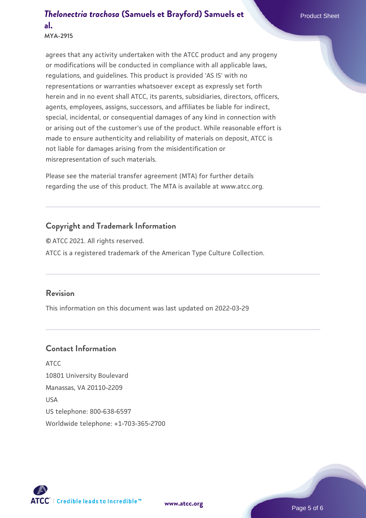**MYA-2915**

agrees that any activity undertaken with the ATCC product and any progeny or modifications will be conducted in compliance with all applicable laws, regulations, and guidelines. This product is provided 'AS IS' with no representations or warranties whatsoever except as expressly set forth herein and in no event shall ATCC, its parents, subsidiaries, directors, officers, agents, employees, assigns, successors, and affiliates be liable for indirect, special, incidental, or consequential damages of any kind in connection with or arising out of the customer's use of the product. While reasonable effort is made to ensure authenticity and reliability of materials on deposit, ATCC is not liable for damages arising from the misidentification or misrepresentation of such materials.

Please see the material transfer agreement (MTA) for further details regarding the use of this product. The MTA is available at www.atcc.org.

#### **Copyright and Trademark Information**

© ATCC 2021. All rights reserved. ATCC is a registered trademark of the American Type Culture Collection.

#### **Revision**

This information on this document was last updated on 2022-03-29

#### **Contact Information**

ATCC 10801 University Boulevard Manassas, VA 20110-2209 USA US telephone: 800-638-6597 Worldwide telephone: +1-703-365-2700